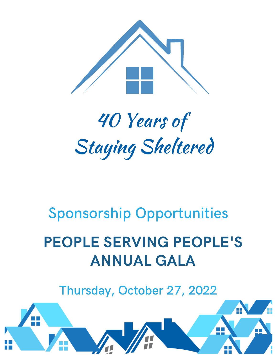

# 40 Years of Staying Sheltered

# Sponsorship Opportunities

# PEOPLE SERVING PEOPLE'S ANNUAL GALA

Thursday, October 27, 2022

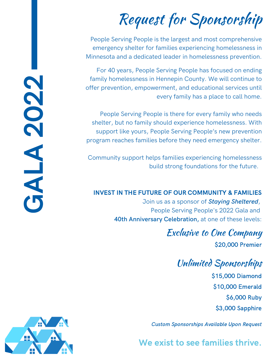# Request for Sponsorship

People Serving People is the largest and most comprehensive emergency shelter for families experiencing homelessness in Minnesota and a dedicated leader in homelessness prevention.

For 40 years, People Serving People has focused on ending family homelessness in Hennepin County. We will continue to offer prevention, empowerment, and educational services until every family has a place to call home.

People Serving People is there for every family who needs shelter, but no family should experience homelessness. With support like yours, People Serving People's new prevention program reaches families before they need emergency shelter. family homelessness in Hennepin County. We will continue to<br>offer prevention, empowerment, and educational services unti<br>every family has a place to call home<br>People Serving People is there for every family who need<br>shelte

Community support helps families experiencing homelessness

#### INVEST IN THE FUTURE OF OUR COMMUNITY & FAMILIES

Join us as a sponsor of *Staying Sheltered*, People Serving People's 2022 Gala and **40th Anniversary Celebration,** at one of these levels:

### Exclusive to One Company

\$20,000 Premier

#### Unlimited Sponsorships

\$15,000 Diamond \$10,000 Emerald \$6,000 Ruby \$3,000 Sapphire

Custom Sponsorships Available Upon Request

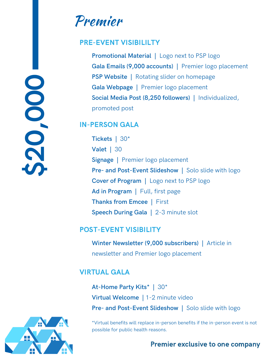# \$20 ,000

### Premier

#### PRE-EVENT VISIBILILTY

**Promotional Material |** Logo next to PSP logo **Gala Emails (9,000 accounts) |** Premier logo placement **PSP Website |** Rotating slider on homepage **Gala Webpage |** Premier logo placement **Social Media Post (8,250 followers) |** Individualized, promoted post

#### IN-PERSON GALA

**Tickets |** 30\* **Valet |** 30 **Signage |** Premier logo placement **Pre- and Post-Event Slideshow |** Solo slide with logo **Cover of Program |** Logo next to PSP logo **Ad in Program |** Full, first page **Thanks from Emcee |** First **Speech During Gala |** 2-3 minute slot

#### POST-EVENT VISIBILITY

**Winter Newsletter (9,000 subscribers) |** Article in newsletter and Premier logo placement

#### VIRTUAL GALA

**At-Home Party Kits\* |** 30\* **Virtual Welcome |** 1-2 minute video **Pre- and Post-Event Slideshow |** Solo slide with logo

\*Virtual benefits will replace in-person benefits if the in-person event is not possible for public health reasons.

#### Premier exclusive to one company

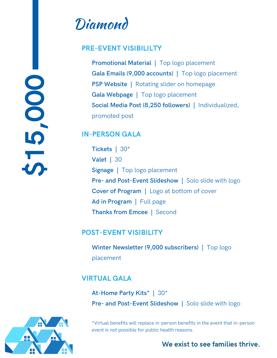# $\overline{5}$ ,000

# Diamond

#### PRE-EVENT VISIBILILTY

**Promotional Material |** Top logo placement **Gala Emails (9,000 accounts) |** Top logo placement **PSP Website |** Rotating slider on homepage **Gala Webpage |** Top logo placement **Social Media Post (8,250 followers) |** Individualized, promoted post

#### IN-PERSON GALA

**Tickets |** 30\* **Valet |** 30 **Signage |** Top logo placement **Pre- and Post-Event Slideshow |** Solo slide with logo **Cover of Program |** Logo at bottom of cover **Ad in Program |** Full page **Thanks from Emcee |** Second

#### POST-EVENT VISIBILITY

**Winter Newsletter (9,000 subscribers) |** Top logo placement

#### VIRTUAL GALA

**At-Home Party Kits\* |** 30\* **Pre- and Post-Event Slideshow |** Solo slide with logo

\*Virtual benefits will replace in-person benefits in the event that in-person event is not possible for public health reasons.

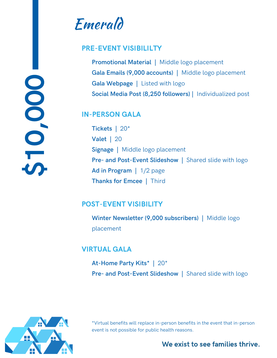$\frac{1}{2}$ ,000

# Emerald

#### PRE-EVENT VISIBILILTY

**Promotional Material |** Middle logo placement **Gala Emails (9,000 accounts) |** Middle logo placement **Gala Webpage |** Listed with logo **Social Media Post (8,250 followers) |** Individualized post

#### IN-PERSON GALA

**Tickets |** 20\* **Valet |** 20 **Signage |** Middle logo placement **Pre- and Post-Event Slideshow |** Shared slide with logo **Ad in Program |** 1/2 page **Thanks for Emcee |** Third

#### POST-EVENT VISIBILITY

**Winter Newsletter (9,000 subscribers) |** Middle logo placement

#### VIRTUAL GALA

**At-Home Party Kits\* |** 20\* **Pre- and Post-Event Slideshow |** Shared slide with logo



\*Virtual benefits will replace in-person benefits in the event that in-person event is not possible for public health reasons.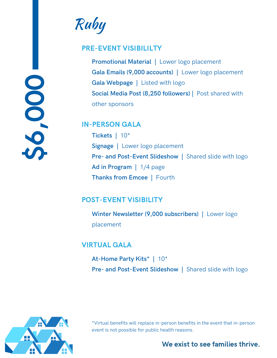

Ruby

#### PRE-EVENT VISIBILILTY

**Promotional Material |** Lower logo placement **Gala Emails (9,000 accounts) |** Lower logo placement **Gala Webpage |** Listed with logo **Social Media Post (8,250 followers) |** Post shared with other sponsors

#### IN-PERSON GALA

**Tickets |** 10\* **Signage |** Lower logo placement **Pre- and Post-Event Slideshow |** Shared slide with logo **Ad in Program |** 1/4 page **Thanks from Emcee |** Fourth

#### POST-EVENT VISIBILITY

**Winter Newsletter (9,000 subscribers) |** Lower logo placement

#### VIRTUAL GALA

**At-Home Party Kits\* |** 10\* **Pre- and Post-Event Slideshow |** Shared slide with logo



\*Virtual benefits will replace in-person benefits in the event that in-person event is not possible for public health reasons.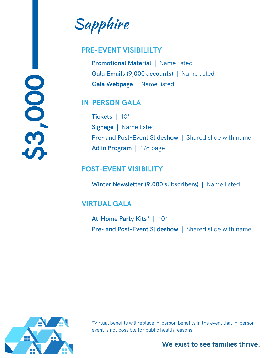Sapphire

#### PRE-EVENT VISIBILILTY

**Promotional Material |** Name listed **Gala Emails (9,000 accounts) |** Name listed **Gala Webpage |** Name listed

#### IN-PERSON GALA

**Tickets |** 10\* **Signage |** Name listed **Pre- and Post-Event Slideshow |** Shared slide with name **Ad in Program |** 1/8 page

#### POST-EVENT VISIBILITY

**Winter Newsletter (9,000 subscribers) |** Name listed

#### VIRTUAL GALA

**At-Home Party Kits\* |** 10\* **Pre- and Post-Event Slideshow |** Shared slide with name



 $\bullet$ 

**C** 

,000

\*Virtual benefits will replace in-person benefits in the event that in-person event is not possible for public health reasons.